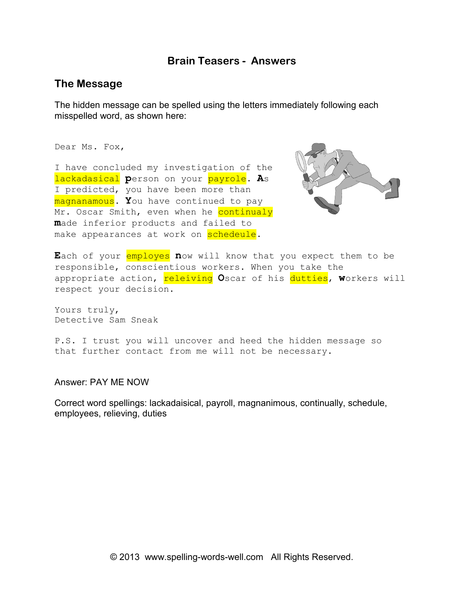## **Brain Teasers - Answers**

## **The Message**

The hidden message can be spelled using the letters immediately following each misspelled word, as shown here:

Dear Ms. Fox,

I have concluded my investigation of the lackadasical **p**erson on your payrole. **A**s I predicted, you have been more than magnanamous. **Y**ou have continued to pay Mr. Oscar Smith, even when he continualy **m**ade inferior products and failed to make appearances at work on schedeule.



Each of your employes now will know that you expect them to be responsible, conscientious workers. When you take the appropriate action, releiving Oscar of his dutties, workers will respect your decision.

Yours truly, Detective Sam Sneak

P.S. I trust you will uncover and heed the hidden message so that further contact from me will not be necessary.

Answer: PAY ME NOW

Correct word spellings: lackadaisical, payroll, magnanimous, continually, schedule, employees, relieving, duties